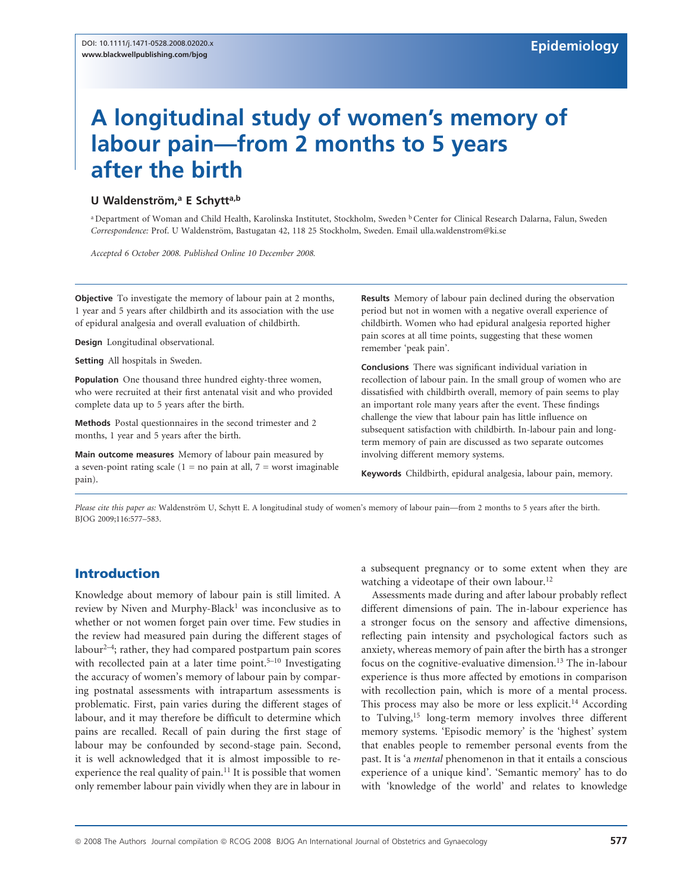# A longitudinal study of women's memory of labour pain—from 2 months to 5 years after the birth

## U Waldenström,<sup>a</sup> E Schytt<sup>a,b</sup>

<sup>a</sup> Department of Woman and Child Health, Karolinska Institutet, Stockholm, Sweden <sup>b</sup> Center for Clinical Research Dalarna, Falun, Sweden Correspondence: Prof. U Waldenström, Bastugatan 42, 118 25 Stockholm, Sweden. Email ulla.waldenstrom@ki.se

Accepted 6 October 2008. Published Online 10 December 2008.

Objective To investigate the memory of labour pain at 2 months, 1 year and 5 years after childbirth and its association with the use of epidural analgesia and overall evaluation of childbirth.

Design Longitudinal observational.

Setting All hospitals in Sweden.

Population One thousand three hundred eighty-three women, who were recruited at their first antenatal visit and who provided complete data up to 5 years after the birth.

Methods Postal questionnaires in the second trimester and 2 months, 1 year and 5 years after the birth.

Main outcome measures Memory of labour pain measured by a seven-point rating scale  $(1 = no \text{ pain at all}, 7 = \text{worst} \text{ imagine}$ pain).

Results Memory of labour pain declined during the observation period but not in women with a negative overall experience of childbirth. Women who had epidural analgesia reported higher pain scores at all time points, suggesting that these women remember 'peak pain'.

Conclusions There was significant individual variation in recollection of labour pain. In the small group of women who are dissatisfied with childbirth overall, memory of pain seems to play an important role many years after the event. These findings challenge the view that labour pain has little influence on subsequent satisfaction with childbirth. In-labour pain and longterm memory of pain are discussed as two separate outcomes involving different memory systems.

Keywords Childbirth, epidural analgesia, labour pain, memory.

Please cite this paper as: Waldenström U, Schytt E. A longitudinal study of women's memory of labour pain—from 2 months to 5 years after the birth. BJOG 2009;116:577–583.

## Introduction

Knowledge about memory of labour pain is still limited. A review by Niven and Murphy-Black<sup>1</sup> was inconclusive as to whether or not women forget pain over time. Few studies in the review had measured pain during the different stages of labour<sup> $2-4$ </sup>; rather, they had compared postpartum pain scores with recollected pain at a later time point.<sup>5–10</sup> Investigating the accuracy of women's memory of labour pain by comparing postnatal assessments with intrapartum assessments is problematic. First, pain varies during the different stages of labour, and it may therefore be difficult to determine which pains are recalled. Recall of pain during the first stage of labour may be confounded by second-stage pain. Second, it is well acknowledged that it is almost impossible to reexperience the real quality of pain.<sup>11</sup> It is possible that women only remember labour pain vividly when they are in labour in

a subsequent pregnancy or to some extent when they are watching a videotape of their own labour.<sup>12</sup>

Assessments made during and after labour probably reflect different dimensions of pain. The in-labour experience has a stronger focus on the sensory and affective dimensions, reflecting pain intensity and psychological factors such as anxiety, whereas memory of pain after the birth has a stronger focus on the cognitive-evaluative dimension.<sup>13</sup> The in-labour experience is thus more affected by emotions in comparison with recollection pain, which is more of a mental process. This process may also be more or less explicit.<sup>14</sup> According to Tulving,15 long-term memory involves three different memory systems. 'Episodic memory' is the 'highest' system that enables people to remember personal events from the past. It is 'a mental phenomenon in that it entails a conscious experience of a unique kind'. 'Semantic memory' has to do with 'knowledge of the world' and relates to knowledge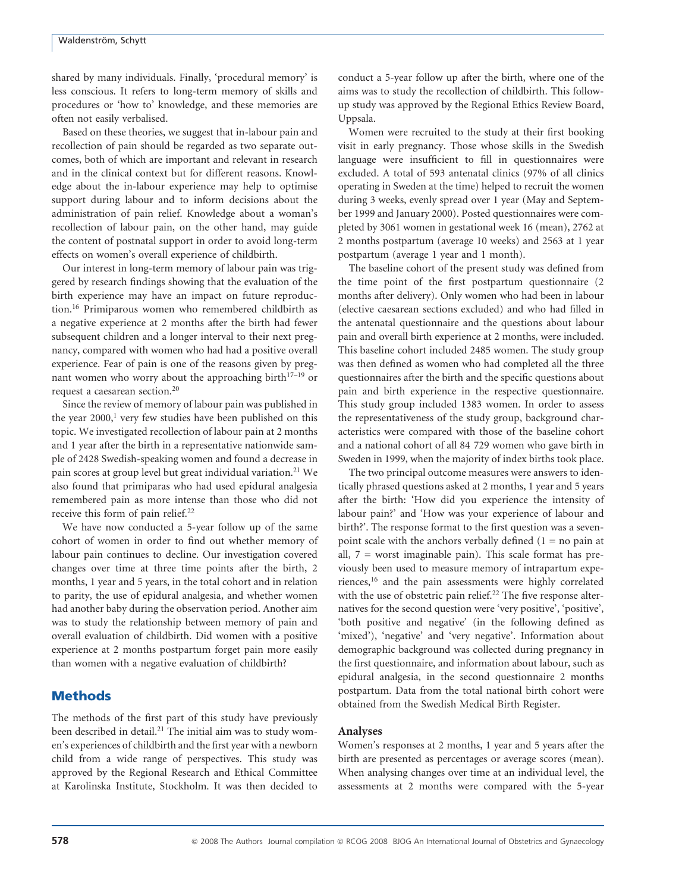shared by many individuals. Finally, 'procedural memory' is less conscious. It refers to long-term memory of skills and procedures or 'how to' knowledge, and these memories are often not easily verbalised.

Based on these theories, we suggest that in-labour pain and recollection of pain should be regarded as two separate outcomes, both of which are important and relevant in research and in the clinical context but for different reasons. Knowledge about the in-labour experience may help to optimise support during labour and to inform decisions about the administration of pain relief. Knowledge about a woman's recollection of labour pain, on the other hand, may guide the content of postnatal support in order to avoid long-term effects on women's overall experience of childbirth.

Our interest in long-term memory of labour pain was triggered by research findings showing that the evaluation of the birth experience may have an impact on future reproduction.16 Primiparous women who remembered childbirth as a negative experience at 2 months after the birth had fewer subsequent children and a longer interval to their next pregnancy, compared with women who had had a positive overall experience. Fear of pain is one of the reasons given by pregnant women who worry about the approaching birth $17-19$  or request a caesarean section.<sup>20</sup>

Since the review of memory of labour pain was published in the year  $2000$ ,<sup>1</sup> very few studies have been published on this topic. We investigated recollection of labour pain at 2 months and 1 year after the birth in a representative nationwide sample of 2428 Swedish-speaking women and found a decrease in pain scores at group level but great individual variation.21 We also found that primiparas who had used epidural analgesia remembered pain as more intense than those who did not receive this form of pain relief.<sup>22</sup>

We have now conducted a 5-year follow up of the same cohort of women in order to find out whether memory of labour pain continues to decline. Our investigation covered changes over time at three time points after the birth, 2 months, 1 year and 5 years, in the total cohort and in relation to parity, the use of epidural analgesia, and whether women had another baby during the observation period. Another aim was to study the relationship between memory of pain and overall evaluation of childbirth. Did women with a positive experience at 2 months postpartum forget pain more easily than women with a negative evaluation of childbirth?

## **Methods**

The methods of the first part of this study have previously been described in detail.<sup>21</sup> The initial aim was to study women's experiences of childbirth and the first year with a newborn child from a wide range of perspectives. This study was approved by the Regional Research and Ethical Committee at Karolinska Institute, Stockholm. It was then decided to conduct a 5-year follow up after the birth, where one of the aims was to study the recollection of childbirth. This followup study was approved by the Regional Ethics Review Board, Uppsala.

Women were recruited to the study at their first booking visit in early pregnancy. Those whose skills in the Swedish language were insufficient to fill in questionnaires were excluded. A total of 593 antenatal clinics (97% of all clinics operating in Sweden at the time) helped to recruit the women during 3 weeks, evenly spread over 1 year (May and September 1999 and January 2000). Posted questionnaires were completed by 3061 women in gestational week 16 (mean), 2762 at 2 months postpartum (average 10 weeks) and 2563 at 1 year postpartum (average 1 year and 1 month).

The baseline cohort of the present study was defined from the time point of the first postpartum questionnaire (2 months after delivery). Only women who had been in labour (elective caesarean sections excluded) and who had filled in the antenatal questionnaire and the questions about labour pain and overall birth experience at 2 months, were included. This baseline cohort included 2485 women. The study group was then defined as women who had completed all the three questionnaires after the birth and the specific questions about pain and birth experience in the respective questionnaire. This study group included 1383 women. In order to assess the representativeness of the study group, background characteristics were compared with those of the baseline cohort and a national cohort of all 84 729 women who gave birth in Sweden in 1999, when the majority of index births took place.

The two principal outcome measures were answers to identically phrased questions asked at 2 months, 1 year and 5 years after the birth: 'How did you experience the intensity of labour pain?' and 'How was your experience of labour and birth?'. The response format to the first question was a sevenpoint scale with the anchors verbally defined  $(1 = no \text{ pain at})$ all,  $7 =$  worst imaginable pain). This scale format has previously been used to measure memory of intrapartum experiences,16 and the pain assessments were highly correlated with the use of obstetric pain relief.<sup>22</sup> The five response alternatives for the second question were 'very positive', 'positive', 'both positive and negative' (in the following defined as 'mixed'), 'negative' and 'very negative'. Information about demographic background was collected during pregnancy in the first questionnaire, and information about labour, such as epidural analgesia, in the second questionnaire 2 months postpartum. Data from the total national birth cohort were obtained from the Swedish Medical Birth Register.

## Analyses

Women's responses at 2 months, 1 year and 5 years after the birth are presented as percentages or average scores (mean). When analysing changes over time at an individual level, the assessments at 2 months were compared with the 5-year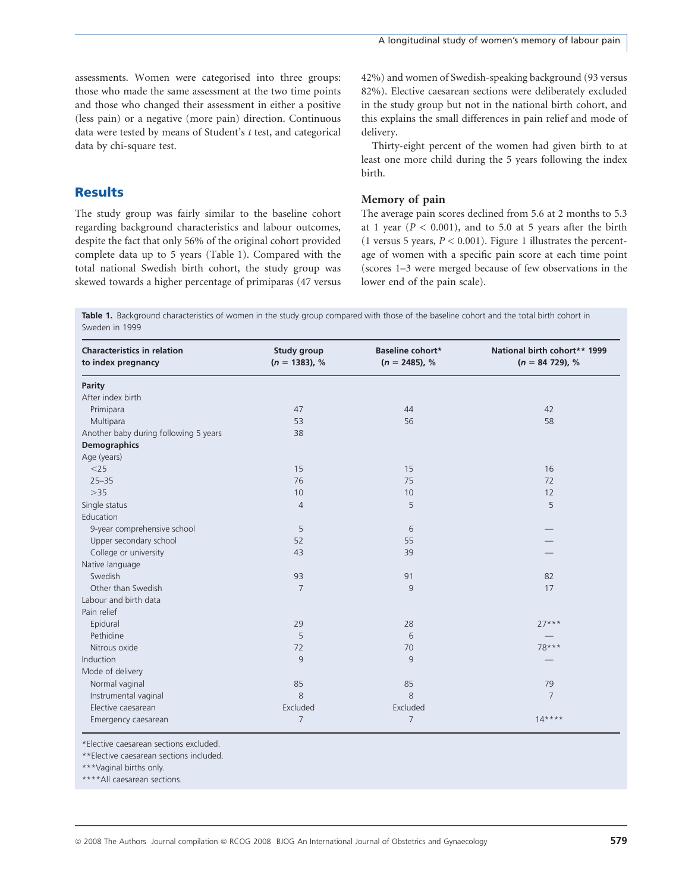assessments. Women were categorised into three groups: those who made the same assessment at the two time points and those who changed their assessment in either a positive (less pain) or a negative (more pain) direction. Continuous data were tested by means of Student's t test, and categorical data by chi-square test.

## **Results**

The study group was fairly similar to the baseline cohort regarding background characteristics and labour outcomes, despite the fact that only 56% of the original cohort provided complete data up to 5 years (Table 1). Compared with the total national Swedish birth cohort, the study group was skewed towards a higher percentage of primiparas (47 versus 42%) and women of Swedish-speaking background (93 versus 82%). Elective caesarean sections were deliberately excluded in the study group but not in the national birth cohort, and this explains the small differences in pain relief and mode of delivery.

Thirty-eight percent of the women had given birth to at least one more child during the 5 years following the index birth.

### Memory of pain

The average pain scores declined from 5.6 at 2 months to 5.3 at 1 year ( $P < 0.001$ ), and to 5.0 at 5 years after the birth (1 versus 5 years,  $P < 0.001$ ). Figure 1 illustrates the percentage of women with a specific pain score at each time point (scores 1–3 were merged because of few observations in the lower end of the pain scale).

Table 1. Background characteristics of women in the study group compared with those of the baseline cohort and the total birth cohort in Sweden in 1999

| <b>Characteristics in relation</b><br>to index pregnancy | Study group<br>$(n = 1383), %$ | Baseline cohort*<br>$(n = 2485)$ , % | National birth cohort** 1999<br>$(n = 84 729), %$ |
|----------------------------------------------------------|--------------------------------|--------------------------------------|---------------------------------------------------|
| Parity                                                   |                                |                                      |                                                   |
| After index birth                                        |                                |                                      |                                                   |
| Primipara                                                | 47                             | 44                                   | 42                                                |
| Multipara                                                | 53                             | 56                                   | 58                                                |
| Another baby during following 5 years                    | 38                             |                                      |                                                   |
| <b>Demographics</b>                                      |                                |                                      |                                                   |
| Age (years)                                              |                                |                                      |                                                   |
| $<$ 25                                                   | 15                             | 15                                   | 16                                                |
| $25 - 35$                                                | 76                             | 75                                   | 72                                                |
| $>35$                                                    | 10                             | 10                                   | 12                                                |
| Single status                                            | $\overline{4}$                 | 5                                    | 5                                                 |
| Education                                                |                                |                                      |                                                   |
| 9-year comprehensive school                              | 5                              | 6                                    |                                                   |
| Upper secondary school                                   | 52                             | 55                                   |                                                   |
| College or university                                    | 43                             | 39                                   |                                                   |
| Native language                                          |                                |                                      |                                                   |
| Swedish                                                  | 93                             | 91                                   | 82                                                |
| Other than Swedish                                       | $\overline{7}$                 | 9                                    | 17                                                |
| Labour and birth data                                    |                                |                                      |                                                   |
| Pain relief                                              |                                |                                      |                                                   |
| Epidural                                                 | 29                             | 28                                   | $27***$                                           |
| Pethidine                                                | 5                              | 6                                    |                                                   |
| Nitrous oxide                                            | 72                             | 70                                   | $78***$                                           |
| Induction                                                | 9                              | 9                                    |                                                   |
| Mode of delivery                                         |                                |                                      |                                                   |
| Normal vaginal                                           | 85                             | 85                                   | 79                                                |
| Instrumental vaginal                                     | 8                              | 8                                    | $\overline{7}$                                    |
| Elective caesarean                                       | Excluded                       | Excluded                             |                                                   |
| Emergency caesarean                                      | $\overline{7}$                 | $\overline{7}$                       | $14***$                                           |

\*Elective caesarean sections excluded.

\*\*Elective caesarean sections included.

\*\*\*Vaginal births only.

\*\*\*\*All caesarean sections.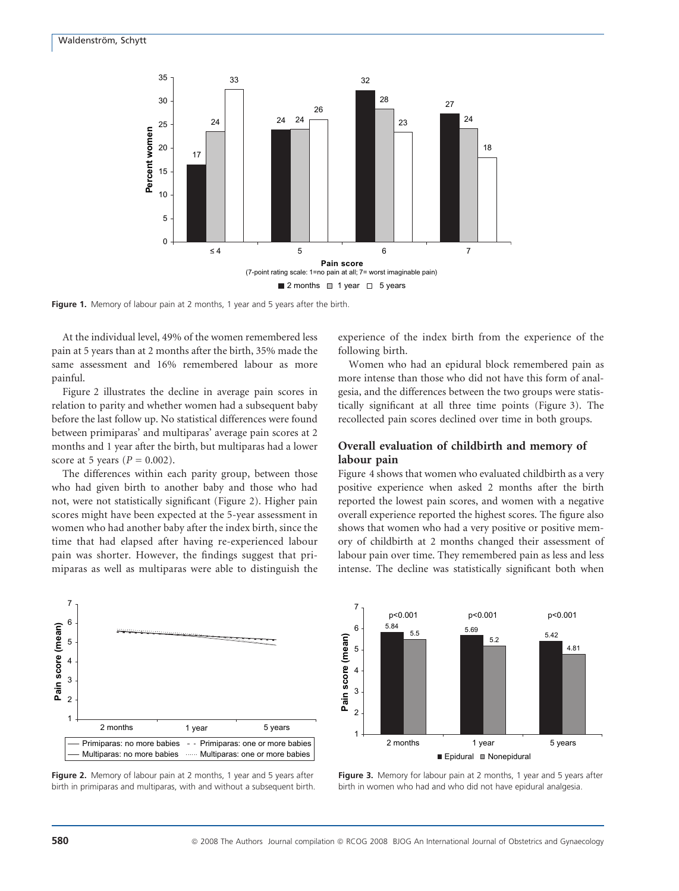

Figure 1. Memory of labour pain at 2 months, 1 year and 5 years after the birth.

At the individual level, 49% of the women remembered less pain at 5 years than at 2 months after the birth, 35% made the same assessment and 16% remembered labour as more painful.

Figure 2 illustrates the decline in average pain scores in relation to parity and whether women had a subsequent baby before the last follow up. No statistical differences were found between primiparas' and multiparas' average pain scores at 2 months and 1 year after the birth, but multiparas had a lower score at 5 years ( $P = 0.002$ ).

The differences within each parity group, between those who had given birth to another baby and those who had not, were not statistically significant (Figure 2). Higher pain scores might have been expected at the 5-year assessment in women who had another baby after the index birth, since the time that had elapsed after having re-experienced labour pain was shorter. However, the findings suggest that primiparas as well as multiparas were able to distinguish the



Figure 2. Memory of labour pain at 2 months, 1 year and 5 years after birth in primiparas and multiparas, with and without a subsequent birth.

experience of the index birth from the experience of the following birth.

Women who had an epidural block remembered pain as more intense than those who did not have this form of analgesia, and the differences between the two groups were statistically significant at all three time points (Figure 3). The recollected pain scores declined over time in both groups.

## Overall evaluation of childbirth and memory of labour pain

Figure 4 shows that women who evaluated childbirth as a very positive experience when asked 2 months after the birth reported the lowest pain scores, and women with a negative overall experience reported the highest scores. The figure also shows that women who had a very positive or positive memory of childbirth at 2 months changed their assessment of labour pain over time. They remembered pain as less and less intense. The decline was statistically significant both when



Figure 3. Memory for labour pain at 2 months, 1 year and 5 years after birth in women who had and who did not have epidural analgesia.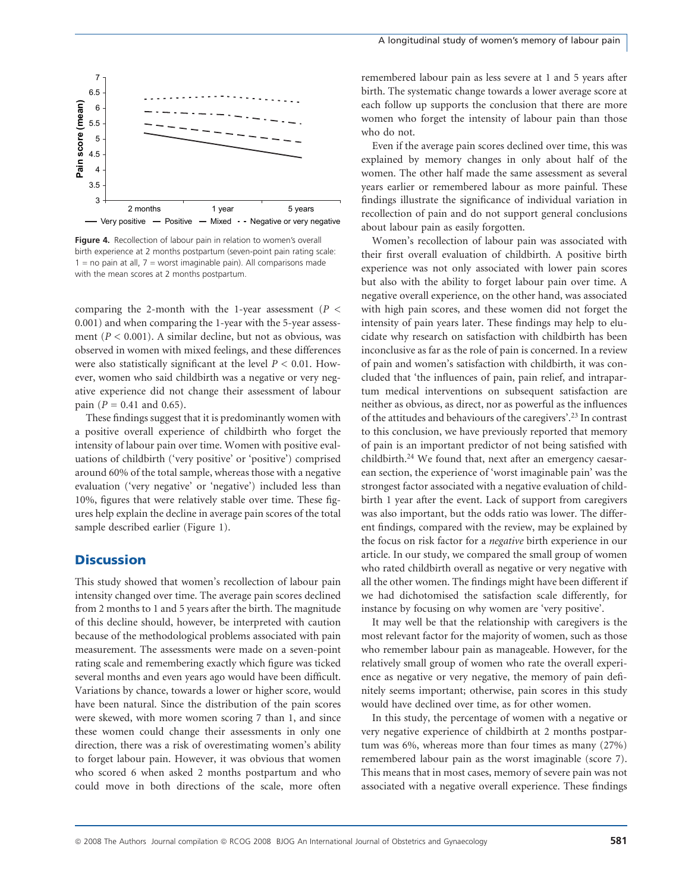

Figure 4. Recollection of labour pain in relation to women's overall birth experience at 2 months postpartum (seven-point pain rating scale:  $1 = no$  pain at all,  $7 =$  worst imaginable pain). All comparisons made with the mean scores at 2 months postpartum.

comparing the 2-month with the 1-year assessment ( $P <$ 0.001) and when comparing the 1-year with the 5-year assessment ( $P < 0.001$ ). A similar decline, but not as obvious, was observed in women with mixed feelings, and these differences were also statistically significant at the level  $P < 0.01$ . However, women who said childbirth was a negative or very negative experience did not change their assessment of labour pain ( $P = 0.41$  and 0.65).

These findings suggest that it is predominantly women with a positive overall experience of childbirth who forget the intensity of labour pain over time. Women with positive evaluations of childbirth ('very positive' or 'positive') comprised around 60% of the total sample, whereas those with a negative evaluation ('very negative' or 'negative') included less than 10%, figures that were relatively stable over time. These figures help explain the decline in average pain scores of the total sample described earlier (Figure 1).

## **Discussion**

This study showed that women's recollection of labour pain intensity changed over time. The average pain scores declined from 2 months to 1 and 5 years after the birth. The magnitude of this decline should, however, be interpreted with caution because of the methodological problems associated with pain measurement. The assessments were made on a seven-point rating scale and remembering exactly which figure was ticked several months and even years ago would have been difficult. Variations by chance, towards a lower or higher score, would have been natural. Since the distribution of the pain scores were skewed, with more women scoring 7 than 1, and since these women could change their assessments in only one direction, there was a risk of overestimating women's ability to forget labour pain. However, it was obvious that women who scored 6 when asked 2 months postpartum and who could move in both directions of the scale, more often remembered labour pain as less severe at 1 and 5 years after birth. The systematic change towards a lower average score at each follow up supports the conclusion that there are more women who forget the intensity of labour pain than those who do not.

Even if the average pain scores declined over time, this was explained by memory changes in only about half of the women. The other half made the same assessment as several years earlier or remembered labour as more painful. These findings illustrate the significance of individual variation in recollection of pain and do not support general conclusions about labour pain as easily forgotten.

Women's recollection of labour pain was associated with their first overall evaluation of childbirth. A positive birth experience was not only associated with lower pain scores but also with the ability to forget labour pain over time. A negative overall experience, on the other hand, was associated with high pain scores, and these women did not forget the intensity of pain years later. These findings may help to elucidate why research on satisfaction with childbirth has been inconclusive as far as the role of pain is concerned. In a review of pain and women's satisfaction with childbirth, it was concluded that 'the influences of pain, pain relief, and intrapartum medical interventions on subsequent satisfaction are neither as obvious, as direct, nor as powerful as the influences of the attitudes and behaviours of the caregivers'.23 In contrast to this conclusion, we have previously reported that memory of pain is an important predictor of not being satisfied with childbirth.<sup>24</sup> We found that, next after an emergency caesarean section, the experience of 'worst imaginable pain' was the strongest factor associated with a negative evaluation of childbirth 1 year after the event. Lack of support from caregivers was also important, but the odds ratio was lower. The different findings, compared with the review, may be explained by the focus on risk factor for a negative birth experience in our article. In our study, we compared the small group of women who rated childbirth overall as negative or very negative with all the other women. The findings might have been different if we had dichotomised the satisfaction scale differently, for instance by focusing on why women are 'very positive'.

It may well be that the relationship with caregivers is the most relevant factor for the majority of women, such as those who remember labour pain as manageable. However, for the relatively small group of women who rate the overall experience as negative or very negative, the memory of pain definitely seems important; otherwise, pain scores in this study would have declined over time, as for other women.

In this study, the percentage of women with a negative or very negative experience of childbirth at 2 months postpartum was 6%, whereas more than four times as many (27%) remembered labour pain as the worst imaginable (score 7). This means that in most cases, memory of severe pain was not associated with a negative overall experience. These findings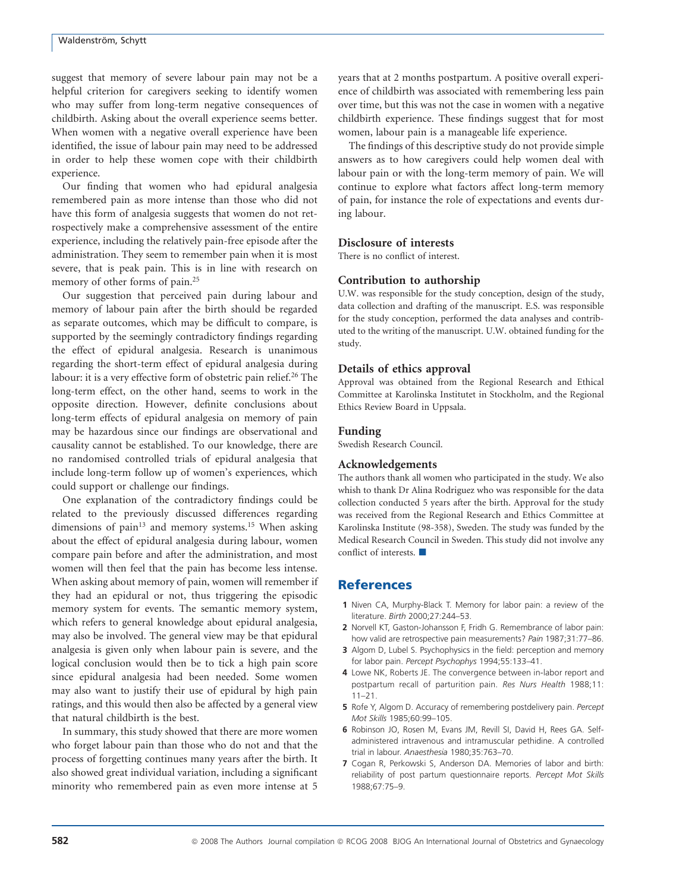suggest that memory of severe labour pain may not be a helpful criterion for caregivers seeking to identify women who may suffer from long-term negative consequences of childbirth. Asking about the overall experience seems better. When women with a negative overall experience have been identified, the issue of labour pain may need to be addressed in order to help these women cope with their childbirth experience.

Our finding that women who had epidural analgesia remembered pain as more intense than those who did not have this form of analgesia suggests that women do not retrospectively make a comprehensive assessment of the entire experience, including the relatively pain-free episode after the administration. They seem to remember pain when it is most severe, that is peak pain. This is in line with research on memory of other forms of pain.<sup>25</sup>

Our suggestion that perceived pain during labour and memory of labour pain after the birth should be regarded as separate outcomes, which may be difficult to compare, is supported by the seemingly contradictory findings regarding the effect of epidural analgesia. Research is unanimous regarding the short-term effect of epidural analgesia during labour: it is a very effective form of obstetric pain relief.<sup>26</sup> The long-term effect, on the other hand, seems to work in the opposite direction. However, definite conclusions about long-term effects of epidural analgesia on memory of pain may be hazardous since our findings are observational and causality cannot be established. To our knowledge, there are no randomised controlled trials of epidural analgesia that include long-term follow up of women's experiences, which could support or challenge our findings.

One explanation of the contradictory findings could be related to the previously discussed differences regarding dimensions of pain<sup>13</sup> and memory systems.<sup>15</sup> When asking about the effect of epidural analgesia during labour, women compare pain before and after the administration, and most women will then feel that the pain has become less intense. When asking about memory of pain, women will remember if they had an epidural or not, thus triggering the episodic memory system for events. The semantic memory system, which refers to general knowledge about epidural analgesia, may also be involved. The general view may be that epidural analgesia is given only when labour pain is severe, and the logical conclusion would then be to tick a high pain score since epidural analgesia had been needed. Some women may also want to justify their use of epidural by high pain ratings, and this would then also be affected by a general view that natural childbirth is the best.

In summary, this study showed that there are more women who forget labour pain than those who do not and that the process of forgetting continues many years after the birth. It also showed great individual variation, including a significant minority who remembered pain as even more intense at 5 years that at 2 months postpartum. A positive overall experience of childbirth was associated with remembering less pain over time, but this was not the case in women with a negative childbirth experience. These findings suggest that for most women, labour pain is a manageable life experience.

The findings of this descriptive study do not provide simple answers as to how caregivers could help women deal with labour pain or with the long-term memory of pain. We will continue to explore what factors affect long-term memory of pain, for instance the role of expectations and events during labour.

#### Disclosure of interests

There is no conflict of interest.

#### Contribution to authorship

U.W. was responsible for the study conception, design of the study, data collection and drafting of the manuscript. E.S. was responsible for the study conception, performed the data analyses and contributed to the writing of the manuscript. U.W. obtained funding for the study.

#### Details of ethics approval

Approval was obtained from the Regional Research and Ethical Committee at Karolinska Institutet in Stockholm, and the Regional Ethics Review Board in Uppsala.

#### Funding

Swedish Research Council.

#### Acknowledgements

The authors thank all women who participated in the study. We also whish to thank Dr Alina Rodriguez who was responsible for the data collection conducted 5 years after the birth. Approval for the study was received from the Regional Research and Ethics Committee at Karolinska Institute (98-358), Sweden. The study was funded by the Medical Research Council in Sweden. This study did not involve any conflict of interests.

## **References**

- 1 Niven CA, Murphy-Black T. Memory for labor pain: a review of the literature. Birth 2000;27:244–53.
- 2 Norvell KT, Gaston-Johansson F, Fridh G. Remembrance of labor pain: how valid are retrospective pain measurements? Pain 1987;31:77–86.
- 3 Algom D, Lubel S. Psychophysics in the field: perception and memory for labor pain. Percept Psychophys 1994;55:133–41.
- 4 Lowe NK, Roberts JE. The convergence between in-labor report and postpartum recall of parturition pain. Res Nurs Health 1988;11: 11–21.
- 5 Rofe Y, Algom D. Accuracy of remembering postdelivery pain. Percept Mot Skills 1985;60:99–105.
- 6 Robinson JO, Rosen M, Evans JM, Revill SI, David H, Rees GA. Selfadministered intravenous and intramuscular pethidine. A controlled trial in labour. Anaesthesia 1980;35:763–70.
- 7 Cogan R, Perkowski S, Anderson DA. Memories of labor and birth: reliability of post partum questionnaire reports. Percept Mot Skills 1988;67:75–9.